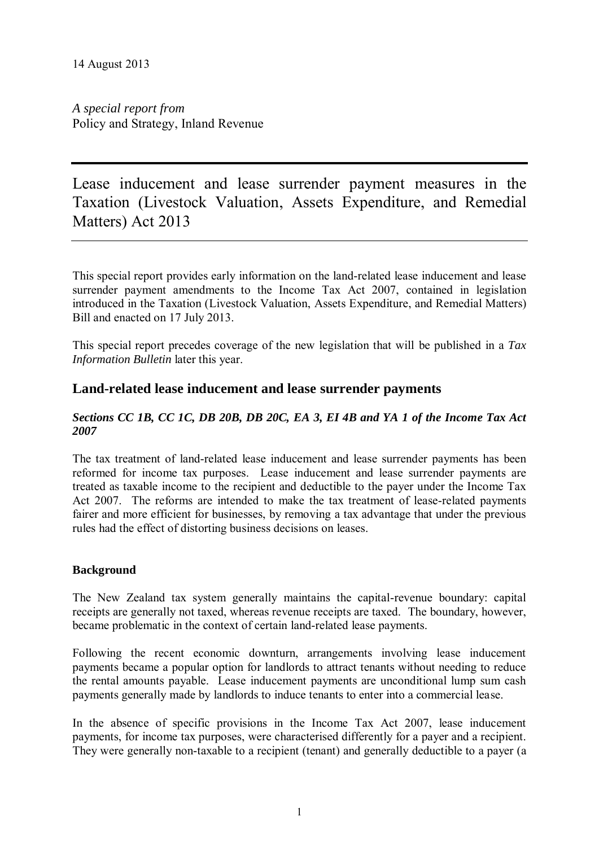*A special report from*  Policy and Strategy, Inland Revenue

Lease inducement and lease surrender payment measures in the Taxation (Livestock Valuation, Assets Expenditure, and Remedial Matters) Act 2013

This special report provides early information on the land-related lease inducement and lease surrender payment amendments to the Income Tax Act 2007, contained in legislation introduced in the Taxation (Livestock Valuation, Assets Expenditure, and Remedial Matters) Bill and enacted on 17 July 2013.

This special report precedes coverage of the new legislation that will be published in a *Tax Information Bulletin* later this year.

# **Land-related lease inducement and lease surrender payments**

#### *Sections CC 1B, CC 1C, DB 20B, DB 20C, EA 3, EI 4B and YA 1 of the Income Tax Act 2007*

The tax treatment of land-related lease inducement and lease surrender payments has been reformed for income tax purposes. Lease inducement and lease surrender payments are treated as taxable income to the recipient and deductible to the payer under the Income Tax Act 2007. The reforms are intended to make the tax treatment of lease-related payments fairer and more efficient for businesses, by removing a tax advantage that under the previous rules had the effect of distorting business decisions on leases.

# **Background**

The New Zealand tax system generally maintains the capital-revenue boundary: capital receipts are generally not taxed, whereas revenue receipts are taxed. The boundary, however, became problematic in the context of certain land-related lease payments.

Following the recent economic downturn, arrangements involving lease inducement payments became a popular option for landlords to attract tenants without needing to reduce the rental amounts payable. Lease inducement payments are unconditional lump sum cash payments generally made by landlords to induce tenants to enter into a commercial lease.

In the absence of specific provisions in the Income Tax Act 2007, lease inducement payments, for income tax purposes, were characterised differently for a payer and a recipient. They were generally non-taxable to a recipient (tenant) and generally deductible to a payer (a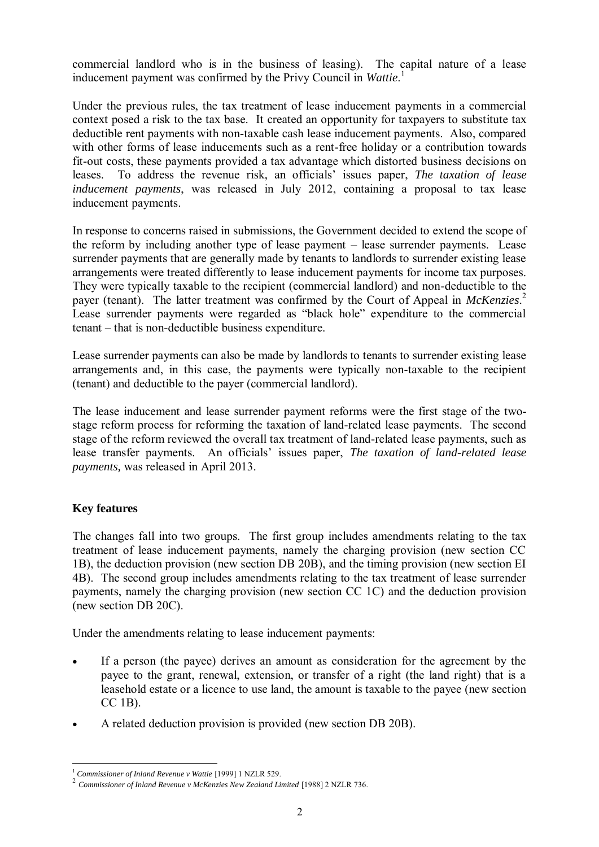commercial landlord who is in the business of leasing). The capital nature of a lease inducement payment was confirmed by the Privy Council in *Wattie*. 1

Under the previous rules, the tax treatment of lease inducement payments in a commercial context posed a risk to the tax base. It created an opportunity for taxpayers to substitute tax deductible rent payments with non-taxable cash lease inducement payments. Also, compared with other forms of lease inducements such as a rent-free holiday or a contribution towards fit-out costs, these payments provided a tax advantage which distorted business decisions on leases. To address the revenue risk, an officials' issues paper, *The taxation of lease inducement payments*, was released in July 2012, containing a proposal to tax lease inducement payments.

In response to concerns raised in submissions, the Government decided to extend the scope of the reform by including another type of lease payment – lease surrender payments. Lease surrender payments that are generally made by tenants to landlords to surrender existing lease arrangements were treated differently to lease inducement payments for income tax purposes. They were typically taxable to the recipient (commercial landlord) and non-deductible to the payer (tenant). The latter treatment was confirmed by the Court of Appeal in *McKenzies*. 2 Lease surrender payments were regarded as "black hole" expenditure to the commercial tenant – that is non-deductible business expenditure.

Lease surrender payments can also be made by landlords to tenants to surrender existing lease arrangements and, in this case, the payments were typically non-taxable to the recipient (tenant) and deductible to the payer (commercial landlord).

The lease inducement and lease surrender payment reforms were the first stage of the twostage reform process for reforming the taxation of land-related lease payments. The second stage of the reform reviewed the overall tax treatment of land-related lease payments, such as lease transfer payments. An officials' issues paper, *The taxation of land-related lease payments,* was released in April 2013.

# **Key features**

The changes fall into two groups. The first group includes amendments relating to the tax treatment of lease inducement payments, namely the charging provision (new section CC 1B), the deduction provision (new section DB 20B), and the timing provision (new section EI 4B). The second group includes amendments relating to the tax treatment of lease surrender payments, namely the charging provision (new section CC 1C) and the deduction provision (new section DB 20C).

Under the amendments relating to lease inducement payments:

- If a person (the payee) derives an amount as consideration for the agreement by the payee to the grant, renewal, extension, or transfer of a right (the land right) that is a leasehold estate or a licence to use land, the amount is taxable to the payee (new section CC 1B).
- A related deduction provision is provided (new section DB 20B).

<sup>-</sup><sup>1</sup> *Commissioner of Inland Revenue v Wattie* [1999] 1 NZLR 529.

<sup>&</sup>lt;sup>2</sup> Commissioner of Inland Revenue v McKenzies New Zealand Limited [1988] 2 NZLR 736.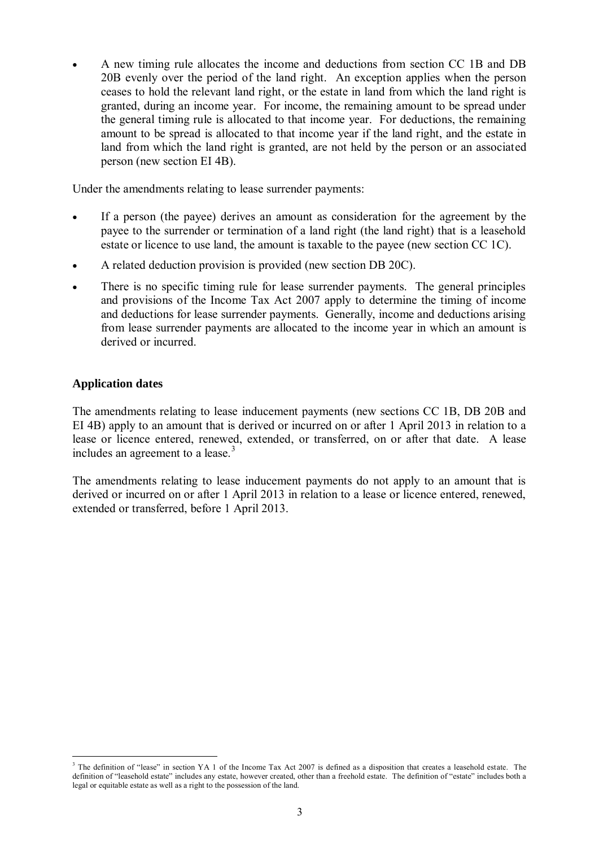A new timing rule allocates the income and deductions from section CC 1B and DB 20B evenly over the period of the land right. An exception applies when the person ceases to hold the relevant land right, or the estate in land from which the land right is granted, during an income year. For income, the remaining amount to be spread under the general timing rule is allocated to that income year. For deductions, the remaining amount to be spread is allocated to that income year if the land right, and the estate in land from which the land right is granted, are not held by the person or an associated person (new section EI 4B).

Under the amendments relating to lease surrender payments:

- If a person (the payee) derives an amount as consideration for the agreement by the payee to the surrender or termination of a land right (the land right) that is a leasehold estate or licence to use land, the amount is taxable to the payee (new section CC 1C).
- A related deduction provision is provided (new section DB 20C).
- There is no specific timing rule for lease surrender payments. The general principles and provisions of the Income Tax Act 2007 apply to determine the timing of income and deductions for lease surrender payments. Generally, income and deductions arising from lease surrender payments are allocated to the income year in which an amount is derived or incurred.

# **Application dates**

-

The amendments relating to lease inducement payments (new sections CC 1B, DB 20B and EI 4B) apply to an amount that is derived or incurred on or after 1 April 2013 in relation to a lease or licence entered, renewed, extended, or transferred, on or after that date. A lease includes an agreement to a lease. $3$ 

The amendments relating to lease inducement payments do not apply to an amount that is derived or incurred on or after 1 April 2013 in relation to a lease or licence entered, renewed, extended or transferred, before 1 April 2013.

<sup>&</sup>lt;sup>3</sup> The definition of "lease" in section YA 1 of the Income Tax Act 2007 is defined as a disposition that creates a leasehold estate. The definition of "leasehold estate" includes any estate, however created, other than a freehold estate. The definition of "estate" includes both a legal or equitable estate as well as a right to the possession of the land.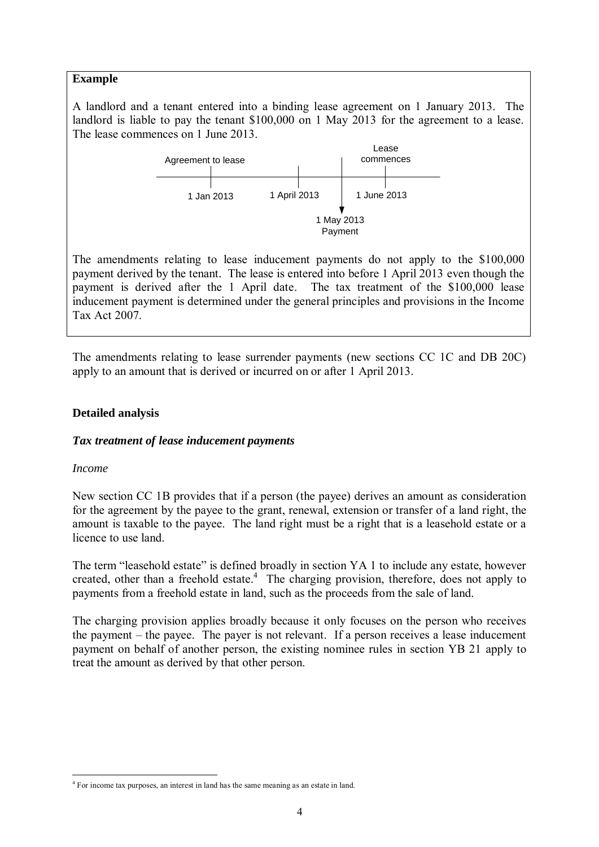A landlord and a tenant entered into a binding lease agreement on 1 January 2013. The landlord is liable to pay the tenant \$100,000 on 1 May 2013 for the agreement to a lease. The lease commences on 1 June 2013.



The amendments relating to lease inducement payments do not apply to the \$100,000 payment derived by the tenant. The lease is entered into before 1 April 2013 even though the payment is derived after the 1 April date. The tax treatment of the \$100,000 lease inducement payment is determined under the general principles and provisions in the Income Tax Act 2007.

The amendments relating to lease surrender payments (new sections CC 1C and DB 20C) apply to an amount that is derived or incurred on or after 1 April 2013.

#### **Detailed analysis**

#### *Tax treatment of lease inducement payments*

#### *Income*

-

New section CC 1B provides that if a person (the payee) derives an amount as consideration for the agreement by the payee to the grant, renewal, extension or transfer of a land right, the amount is taxable to the payee. The land right must be a right that is a leasehold estate or a licence to use land.

The term "leasehold estate" is defined broadly in section YA 1 to include any estate, however created, other than a freehold estate.<sup>4</sup> The charging provision, therefore, does not apply to payments from a freehold estate in land, such as the proceeds from the sale of land.

The charging provision applies broadly because it only focuses on the person who receives the payment – the payee. The payer is not relevant. If a person receives a lease inducement payment on behalf of another person, the existing nominee rules in section YB 21 apply to treat the amount as derived by that other person.

<sup>&</sup>lt;sup>4</sup> For income tax purposes, an interest in land has the same meaning as an estate in land.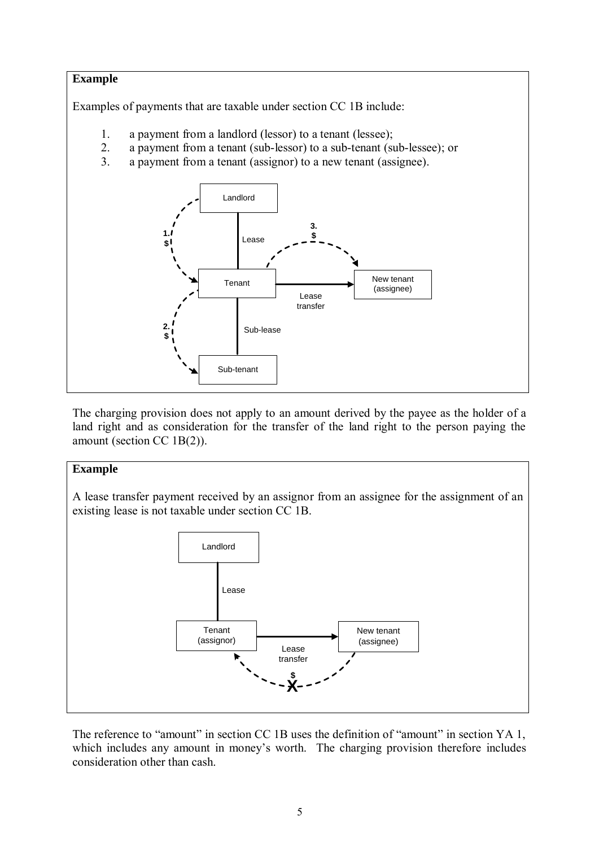# **Example** Examples of payments that are taxable under section CC 1B include: 1. a payment from a landlord (lessor) to a tenant (lessee); 2. a payment from a tenant (sub-lessor) to a sub-tenant (sub-lessee); or 3. a payment from a tenant (assignor) to a new tenant (assignee). Landlord Tenant Sub-tenant New tenant Lease (assignee) transfer Sub-lease Lease  $\frac{\$}{\$}$ **\$ 2. \$ 1. \$**

The charging provision does not apply to an amount derived by the payee as the holder of a land right and as consideration for the transfer of the land right to the person paying the amount (section CC 1B(2)).

# **Example**

A lease transfer payment received by an assignor from an assignee for the assignment of an existing lease is not taxable under section CC 1B.



The reference to "amount" in section CC 1B uses the definition of "amount" in section YA 1, which includes any amount in money's worth. The charging provision therefore includes consideration other than cash.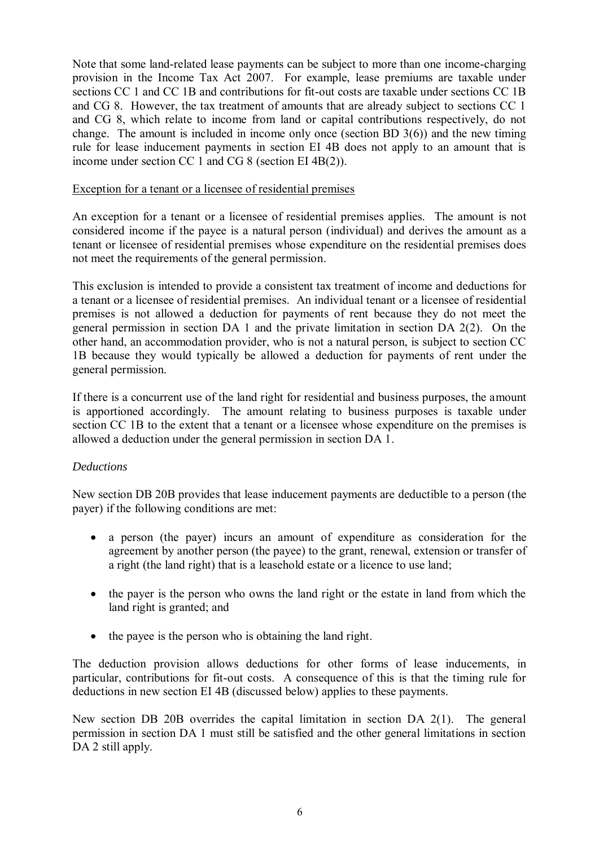Note that some land-related lease payments can be subject to more than one income-charging provision in the Income Tax Act 2007. For example, lease premiums are taxable under sections CC 1 and CC 1B and contributions for fit-out costs are taxable under sections CC 1B and CG 8. However, the tax treatment of amounts that are already subject to sections CC 1 and CG 8, which relate to income from land or capital contributions respectively, do not change. The amount is included in income only once (section BD 3(6)) and the new timing rule for lease inducement payments in section EI 4B does not apply to an amount that is income under section CC 1 and CG 8 (section EI 4B(2)).

#### Exception for a tenant or a licensee of residential premises

An exception for a tenant or a licensee of residential premises applies. The amount is not considered income if the payee is a natural person (individual) and derives the amount as a tenant or licensee of residential premises whose expenditure on the residential premises does not meet the requirements of the general permission.

This exclusion is intended to provide a consistent tax treatment of income and deductions for a tenant or a licensee of residential premises. An individual tenant or a licensee of residential premises is not allowed a deduction for payments of rent because they do not meet the general permission in section DA 1 and the private limitation in section DA 2(2). On the other hand, an accommodation provider, who is not a natural person, is subject to section CC 1B because they would typically be allowed a deduction for payments of rent under the general permission.

If there is a concurrent use of the land right for residential and business purposes, the amount is apportioned accordingly. The amount relating to business purposes is taxable under section CC 1B to the extent that a tenant or a licensee whose expenditure on the premises is allowed a deduction under the general permission in section DA 1.

# *Deductions*

New section DB 20B provides that lease inducement payments are deductible to a person (the payer) if the following conditions are met:

- a person (the payer) incurs an amount of expenditure as consideration for the agreement by another person (the payee) to the grant, renewal, extension or transfer of a right (the land right) that is a leasehold estate or a licence to use land;
- the payer is the person who owns the land right or the estate in land from which the land right is granted; and
- the payee is the person who is obtaining the land right.

The deduction provision allows deductions for other forms of lease inducements, in particular, contributions for fit-out costs. A consequence of this is that the timing rule for deductions in new section EI 4B (discussed below) applies to these payments.

New section DB 20B overrides the capital limitation in section DA 2(1). The general permission in section DA 1 must still be satisfied and the other general limitations in section DA 2 still apply.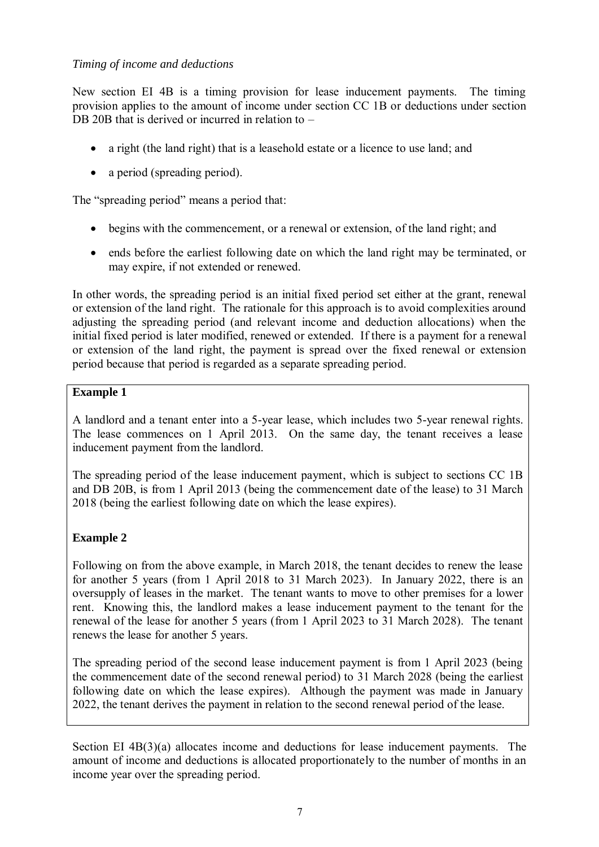# *Timing of income and deductions*

New section EI 4B is a timing provision for lease inducement payments. The timing provision applies to the amount of income under section CC 1B or deductions under section DB 20B that is derived or incurred in relation to –

- a right (the land right) that is a leasehold estate or a licence to use land; and
- a period (spreading period).

The "spreading period" means a period that:

- begins with the commencement, or a renewal or extension, of the land right; and
- ends before the earliest following date on which the land right may be terminated, or may expire, if not extended or renewed.

In other words, the spreading period is an initial fixed period set either at the grant, renewal or extension of the land right. The rationale for this approach is to avoid complexities around adjusting the spreading period (and relevant income and deduction allocations) when the initial fixed period is later modified, renewed or extended. If there is a payment for a renewal or extension of the land right, the payment is spread over the fixed renewal or extension period because that period is regarded as a separate spreading period.

# **Example 1**

A landlord and a tenant enter into a 5-year lease, which includes two 5-year renewal rights. The lease commences on 1 April 2013. On the same day, the tenant receives a lease inducement payment from the landlord.

The spreading period of the lease inducement payment, which is subject to sections CC 1B and DB 20B, is from 1 April 2013 (being the commencement date of the lease) to 31 March 2018 (being the earliest following date on which the lease expires).

# **Example 2**

Following on from the above example, in March 2018, the tenant decides to renew the lease for another 5 years (from 1 April 2018 to 31 March 2023). In January 2022, there is an oversupply of leases in the market. The tenant wants to move to other premises for a lower rent. Knowing this, the landlord makes a lease inducement payment to the tenant for the renewal of the lease for another 5 years (from 1 April 2023 to 31 March 2028). The tenant renews the lease for another 5 years.

The spreading period of the second lease inducement payment is from 1 April 2023 (being the commencement date of the second renewal period) to 31 March 2028 (being the earliest following date on which the lease expires). Although the payment was made in January 2022, the tenant derives the payment in relation to the second renewal period of the lease.

Section EI 4B(3)(a) allocates income and deductions for lease inducement payments. The amount of income and deductions is allocated proportionately to the number of months in an income year over the spreading period.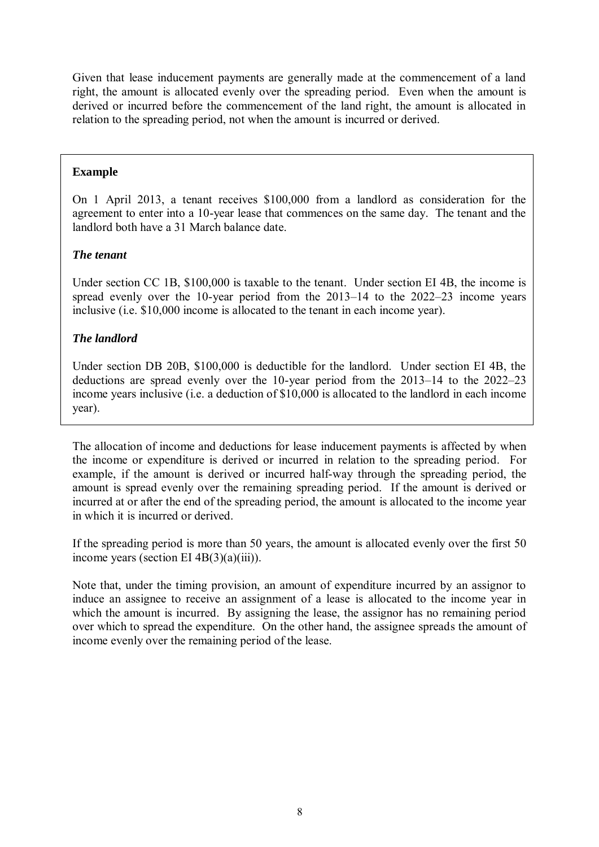Given that lease inducement payments are generally made at the commencement of a land right, the amount is allocated evenly over the spreading period. Even when the amount is derived or incurred before the commencement of the land right, the amount is allocated in relation to the spreading period, not when the amount is incurred or derived.

#### **Example**

On 1 April 2013, a tenant receives \$100,000 from a landlord as consideration for the agreement to enter into a 10-year lease that commences on the same day. The tenant and the landlord both have a 31 March balance date.

# *The tenant*

Under section CC 1B, \$100,000 is taxable to the tenant. Under section EI 4B, the income is spread evenly over the 10-year period from the 2013–14 to the 2022–23 income years inclusive (i.e. \$10,000 income is allocated to the tenant in each income year).

# *The landlord*

Under section DB 20B, \$100,000 is deductible for the landlord. Under section EI 4B, the deductions are spread evenly over the 10-year period from the 2013–14 to the 2022–23 income years inclusive (i.e. a deduction of \$10,000 is allocated to the landlord in each income year).

The allocation of income and deductions for lease inducement payments is affected by when the income or expenditure is derived or incurred in relation to the spreading period. For example, if the amount is derived or incurred half-way through the spreading period, the amount is spread evenly over the remaining spreading period. If the amount is derived or incurred at or after the end of the spreading period, the amount is allocated to the income year in which it is incurred or derived.

If the spreading period is more than 50 years, the amount is allocated evenly over the first 50 income years (section EI 4B(3)(a)(iii)).

Note that, under the timing provision, an amount of expenditure incurred by an assignor to induce an assignee to receive an assignment of a lease is allocated to the income year in which the amount is incurred. By assigning the lease, the assignor has no remaining period over which to spread the expenditure. On the other hand, the assignee spreads the amount of income evenly over the remaining period of the lease.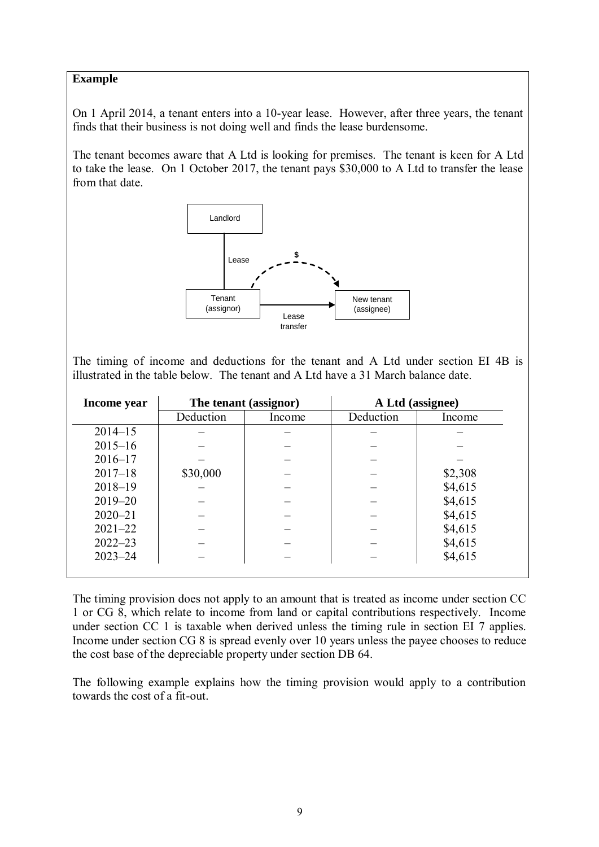On 1 April 2014, a tenant enters into a 10-year lease. However, after three years, the tenant finds that their business is not doing well and finds the lease burdensome.

The tenant becomes aware that A Ltd is looking for premises. The tenant is keen for A Ltd to take the lease. On 1 October 2017, the tenant pays \$30,000 to A Ltd to transfer the lease from that date.



The timing of income and deductions for the tenant and A Ltd under section EI 4B is illustrated in the table below. The tenant and A Ltd have a 31 March balance date.

| Income year | The tenant (assignor) |        | A Ltd (assignee) |         |
|-------------|-----------------------|--------|------------------|---------|
|             | Deduction             | Income | Deduction        | Income  |
| $2014 - 15$ |                       |        |                  |         |
| $2015 - 16$ |                       |        |                  |         |
| $2016 - 17$ |                       |        |                  |         |
| $2017 - 18$ | \$30,000              |        |                  | \$2,308 |
| $2018 - 19$ |                       |        |                  | \$4,615 |
| $2019 - 20$ |                       |        |                  | \$4,615 |
| $2020 - 21$ |                       |        |                  | \$4,615 |
| $2021 - 22$ |                       |        |                  | \$4,615 |
| $2022 - 23$ |                       |        |                  | \$4,615 |
| $2023 - 24$ |                       |        |                  | \$4,615 |

The timing provision does not apply to an amount that is treated as income under section CC 1 or CG 8, which relate to income from land or capital contributions respectively. Income under section CC 1 is taxable when derived unless the timing rule in section EI 7 applies. Income under section CG 8 is spread evenly over 10 years unless the payee chooses to reduce the cost base of the depreciable property under section DB 64.

The following example explains how the timing provision would apply to a contribution towards the cost of a fit-out.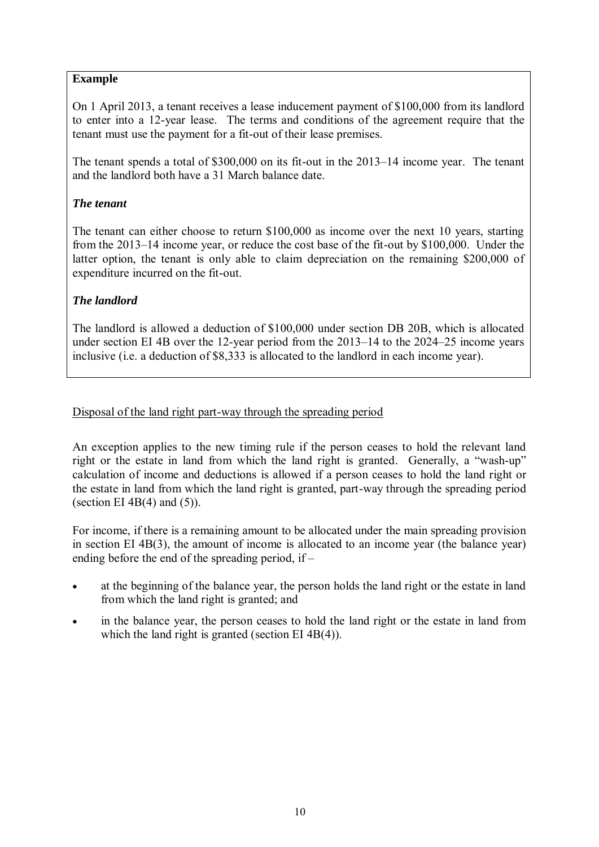On 1 April 2013, a tenant receives a lease inducement payment of \$100,000 from its landlord to enter into a 12-year lease. The terms and conditions of the agreement require that the tenant must use the payment for a fit-out of their lease premises.

The tenant spends a total of \$300,000 on its fit-out in the 2013–14 income year. The tenant and the landlord both have a 31 March balance date.

# *The tenant*

The tenant can either choose to return \$100,000 as income over the next 10 years, starting from the 2013–14 income year, or reduce the cost base of the fit-out by \$100,000. Under the latter option, the tenant is only able to claim depreciation on the remaining \$200,000 of expenditure incurred on the fit-out.

# *The landlord*

The landlord is allowed a deduction of \$100,000 under section DB 20B, which is allocated under section EI 4B over the 12-year period from the 2013–14 to the 2024–25 income years inclusive (i.e. a deduction of \$8,333 is allocated to the landlord in each income year).

# Disposal of the land right part-way through the spreading period

An exception applies to the new timing rule if the person ceases to hold the relevant land right or the estate in land from which the land right is granted. Generally, a "wash-up" calculation of income and deductions is allowed if a person ceases to hold the land right or the estate in land from which the land right is granted, part-way through the spreading period (section EI 4B $(4)$  and  $(5)$ ).

For income, if there is a remaining amount to be allocated under the main spreading provision in section EI 4B(3), the amount of income is allocated to an income year (the balance year) ending before the end of the spreading period, if –

- at the beginning of the balance year, the person holds the land right or the estate in land from which the land right is granted; and
- in the balance year, the person ceases to hold the land right or the estate in land from which the land right is granted (section EI 4B(4)).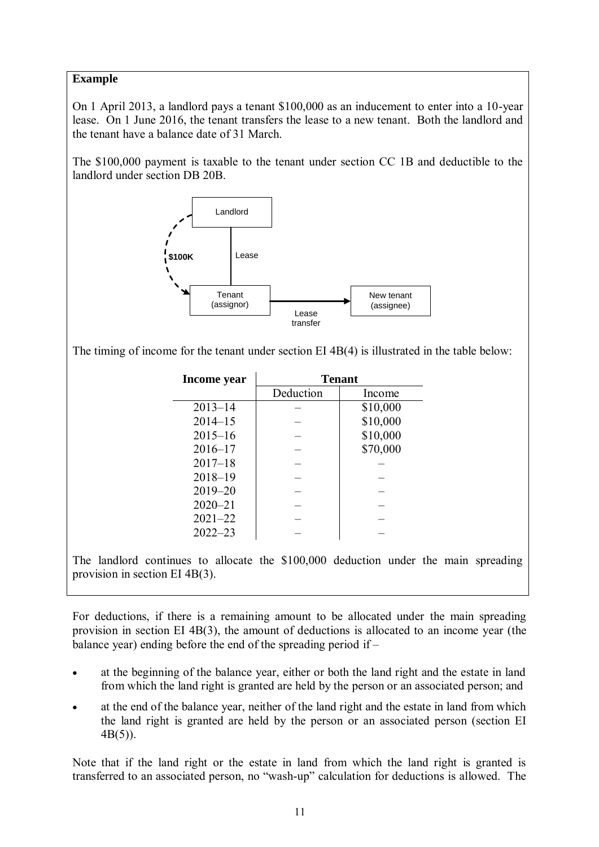On 1 April 2013, a landlord pays a tenant \$100,000 as an inducement to enter into a 10-year lease. On 1 June 2016, the tenant transfers the lease to a new tenant. Both the landlord and the tenant have a balance date of 31 March.

The \$100,000 payment is taxable to the tenant under section CC 1B and deductible to the landlord under section DB 20B.



The timing of income for the tenant under section EI 4B(4) is illustrated in the table below:

| Income year |           | <b>Tenant</b> |  |
|-------------|-----------|---------------|--|
|             | Deduction | Income        |  |
| $2013 - 14$ |           | \$10,000      |  |
| $2014 - 15$ |           | \$10,000      |  |
| $2015 - 16$ |           | \$10,000      |  |
| $2016 - 17$ |           | \$70,000      |  |
| $2017 - 18$ |           |               |  |
| $2018 - 19$ |           |               |  |
| $2019 - 20$ |           |               |  |
| $2020 - 21$ |           |               |  |
| $2021 - 22$ |           |               |  |
| $2022 - 23$ |           |               |  |

The landlord continues to allocate the \$100,000 deduction under the main spreading provision in section EI 4B(3).

For deductions, if there is a remaining amount to be allocated under the main spreading provision in section EI 4B(3), the amount of deductions is allocated to an income year (the balance year) ending before the end of the spreading period if  $-$ 

- at the beginning of the balance year, either or both the land right and the estate in land from which the land right is granted are held by the person or an associated person; and
- at the end of the balance year, neither of the land right and the estate in land from which the land right is granted are held by the person or an associated person (section EI 4B(5)).

Note that if the land right or the estate in land from which the land right is granted is transferred to an associated person, no "wash-up" calculation for deductions is allowed. The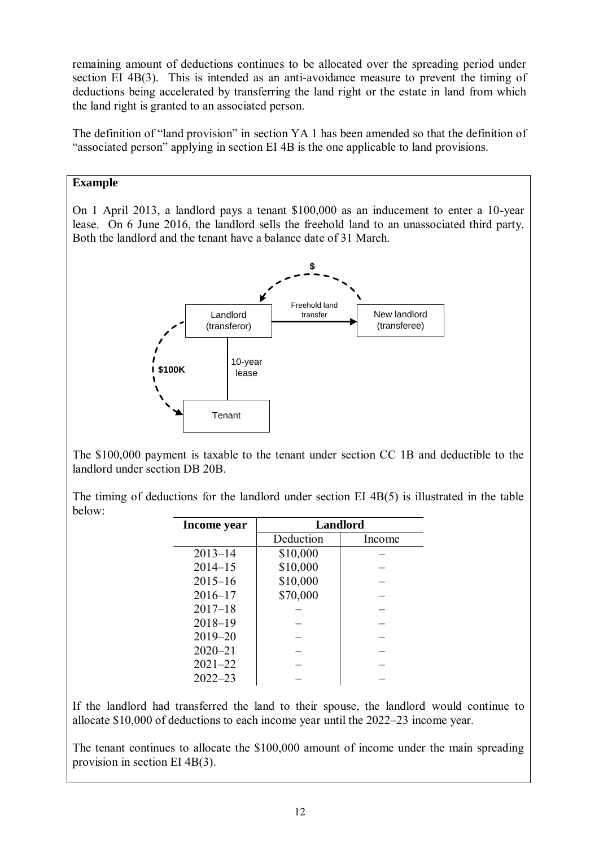remaining amount of deductions continues to be allocated over the spreading period under section EI 4B(3). This is intended as an anti-avoidance measure to prevent the timing of deductions being accelerated by transferring the land right or the estate in land from which the land right is granted to an associated person.

The definition of "land provision" in section YA 1 has been amended so that the definition of "associated person" applying in section EI 4B is the one applicable to land provisions.

# **Example**

On 1 April 2013, a landlord pays a tenant \$100,000 as an inducement to enter a 10-year lease. On 6 June 2016, the landlord sells the freehold land to an unassociated third party. Both the landlord and the tenant have a balance date of 31 March.



The \$100,000 payment is taxable to the tenant under section CC 1B and deductible to the landlord under section DB 20B.

The timing of deductions for the landlord under section EI 4B(5) is illustrated in the table below:

| Income year | <b>Landlord</b> |        |  |
|-------------|-----------------|--------|--|
|             | Deduction       | Income |  |
| $2013 - 14$ | \$10,000        |        |  |
| $2014 - 15$ | \$10,000        |        |  |
| $2015 - 16$ | \$10,000        |        |  |
| $2016 - 17$ | \$70,000        |        |  |
| $2017 - 18$ |                 |        |  |
| $2018 - 19$ |                 |        |  |
| $2019 - 20$ |                 |        |  |
| $2020 - 21$ |                 |        |  |
| $2021 - 22$ |                 |        |  |
| $2022 - 23$ |                 |        |  |

If the landlord had transferred the land to their spouse, the landlord would continue to allocate \$10,000 of deductions to each income year until the 2022–23 income year.

The tenant continues to allocate the \$100,000 amount of income under the main spreading provision in section EI 4B(3).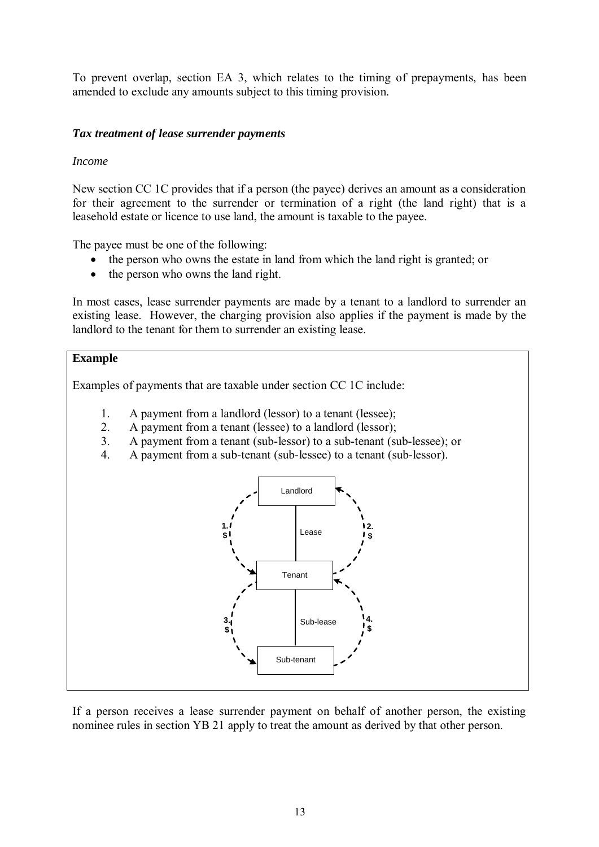To prevent overlap, section EA 3, which relates to the timing of prepayments, has been amended to exclude any amounts subject to this timing provision.

#### *Tax treatment of lease surrender payments*

#### *Income*

New section CC 1C provides that if a person (the payee) derives an amount as a consideration for their agreement to the surrender or termination of a right (the land right) that is a leasehold estate or licence to use land, the amount is taxable to the payee.

The payee must be one of the following:

- the person who owns the estate in land from which the land right is granted; or
- the person who owns the land right.

In most cases, lease surrender payments are made by a tenant to a landlord to surrender an existing lease. However, the charging provision also applies if the payment is made by the landlord to the tenant for them to surrender an existing lease.

#### **Example**

Examples of payments that are taxable under section CC 1C include:

- 1. A payment from a landlord (lessor) to a tenant (lessee);
- 2. A payment from a tenant (lessee) to a landlord (lessor);
- 3. A payment from a tenant (sub-lessor) to a sub-tenant (sub-lessee); or
- 4. A payment from a sub-tenant (sub-lessee) to a tenant (sub-lessor).



If a person receives a lease surrender payment on behalf of another person, the existing nominee rules in section YB 21 apply to treat the amount as derived by that other person.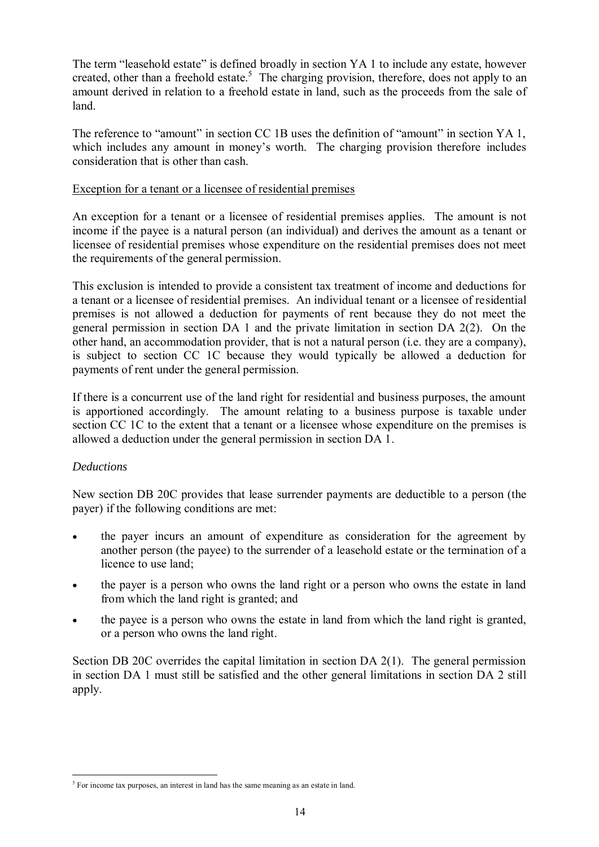The term "leasehold estate" is defined broadly in section YA 1 to include any estate, however created, other than a freehold estate.<sup>5</sup> The charging provision, therefore, does not apply to an amount derived in relation to a freehold estate in land, such as the proceeds from the sale of land.

The reference to "amount" in section CC 1B uses the definition of "amount" in section YA 1, which includes any amount in money's worth. The charging provision therefore includes consideration that is other than cash.

#### Exception for a tenant or a licensee of residential premises

An exception for a tenant or a licensee of residential premises applies. The amount is not income if the payee is a natural person (an individual) and derives the amount as a tenant or licensee of residential premises whose expenditure on the residential premises does not meet the requirements of the general permission.

This exclusion is intended to provide a consistent tax treatment of income and deductions for a tenant or a licensee of residential premises. An individual tenant or a licensee of residential premises is not allowed a deduction for payments of rent because they do not meet the general permission in section DA 1 and the private limitation in section DA 2(2). On the other hand, an accommodation provider, that is not a natural person (i.e. they are a company), is subject to section CC 1C because they would typically be allowed a deduction for payments of rent under the general permission.

If there is a concurrent use of the land right for residential and business purposes, the amount is apportioned accordingly. The amount relating to a business purpose is taxable under section CC 1C to the extent that a tenant or a licensee whose expenditure on the premises is allowed a deduction under the general permission in section DA 1.

# *Deductions*

-

New section DB 20C provides that lease surrender payments are deductible to a person (the payer) if the following conditions are met:

- the payer incurs an amount of expenditure as consideration for the agreement by another person (the payee) to the surrender of a leasehold estate or the termination of a licence to use land;
- the payer is a person who owns the land right or a person who owns the estate in land from which the land right is granted; and
- the payee is a person who owns the estate in land from which the land right is granted, or a person who owns the land right.

Section DB 20C overrides the capital limitation in section DA 2(1). The general permission in section DA 1 must still be satisfied and the other general limitations in section DA 2 still apply.

<sup>&</sup>lt;sup>5</sup> For income tax purposes, an interest in land has the same meaning as an estate in land.